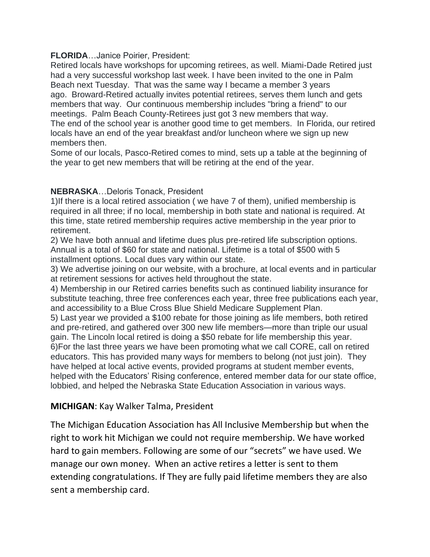#### **FLORIDA**…Janice Poirier, President:

Retired locals have workshops for upcoming retirees, as well. Miami-Dade Retired just had a very successful workshop last week. I have been invited to the one in Palm Beach next Tuesday. That was the same way I became a member 3 years ago. Broward-Retired actually invites potential retirees, serves them lunch and gets members that way. Our continuous membership includes "bring a friend" to our meetings. Palm Beach County-Retirees just got 3 new members that way. The end of the school year is another good time to get members. In Florida, our retired locals have an end of the year breakfast and/or luncheon where we sign up new members then.

Some of our locals, Pasco-Retired comes to mind, sets up a table at the beginning of the year to get new members that will be retiring at the end of the year.

### **NEBRASKA**…Deloris Tonack, President

1)If there is a local retired association ( we have 7 of them), unified membership is required in all three; if no local, membership in both state and national is required. At this time, state retired membership requires active membership in the year prior to retirement.

2) We have both annual and lifetime dues plus pre-retired life subscription options. Annual is a total of \$60 for state and national. Lifetime is a total of \$500 with 5 installment options. Local dues vary within our state.

3) We advertise joining on our website, with a brochure, at local events and in particular at retirement sessions for actives held throughout the state.

4) Membership in our Retired carries benefits such as continued liability insurance for substitute teaching, three free conferences each year, three free publications each year, and accessibility to a Blue Cross Blue Shield Medicare Supplement Plan.

5) Last year we provided a \$100 rebate for those joining as life members, both retired and pre-retired, and gathered over 300 new life members—more than triple our usual gain. The Lincoln local retired is doing a \$50 rebate for life membership this year. 6)For the last three years we have been promoting what we call CORE, call on retired educators. This has provided many ways for members to belong (not just join). They have helped at local active events, provided programs at student member events, helped with the Educators' Rising conference, entered member data for our state office, lobbied, and helped the Nebraska State Education Association in various ways.

## **MICHIGAN**: Kay Walker Talma, President

The Michigan Education Association has All Inclusive Membership but when the right to work hit Michigan we could not require membership. We have worked hard to gain members. Following are some of our "secrets" we have used. We manage our own money. When an active retires a letter is sent to them extending congratulations. If They are fully paid lifetime members they are also sent a membership card.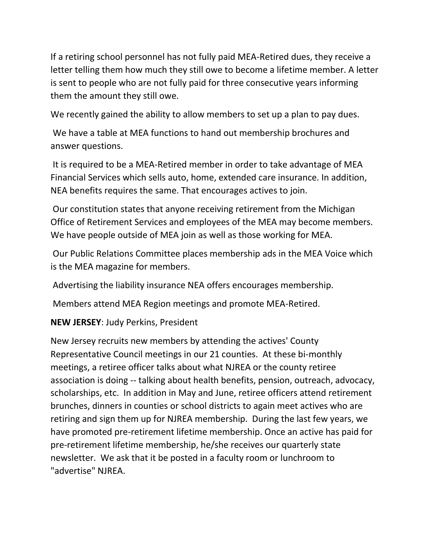If a retiring school personnel has not fully paid MEA-Retired dues, they receive a letter telling them how much they still owe to become a lifetime member. A letter is sent to people who are not fully paid for three consecutive years informing them the amount they still owe.

We recently gained the ability to allow members to set up a plan to pay dues.

We have a table at MEA functions to hand out membership brochures and answer questions.

It is required to be a MEA-Retired member in order to take advantage of MEA Financial Services which sells auto, home, extended care insurance. In addition, NEA benefits requires the same. That encourages actives to join.

Our constitution states that anyone receiving retirement from the Michigan Office of Retirement Services and employees of the MEA may become members. We have people outside of MEA join as well as those working for MEA.

Our Public Relations Committee places membership ads in the MEA Voice which is the MEA magazine for members.

Advertising the liability insurance NEA offers encourages membership.

Members attend MEA Region meetings and promote MEA-Retired.

## **NEW JERSEY**: Judy Perkins, President

New Jersey recruits new members by attending the actives' County Representative Council meetings in our 21 counties. At these bi-monthly meetings, a retiree officer talks about what NJREA or the county retiree association is doing -- talking about health benefits, pension, outreach, advocacy, scholarships, etc. In addition in May and June, retiree officers attend retirement brunches, dinners in counties or school districts to again meet actives who are retiring and sign them up for NJREA membership. During the last few years, we have promoted pre-retirement lifetime membership. Once an active has paid for pre-retirement lifetime membership, he/she receives our quarterly state newsletter. We ask that it be posted in a faculty room or lunchroom to "advertise" NJREA.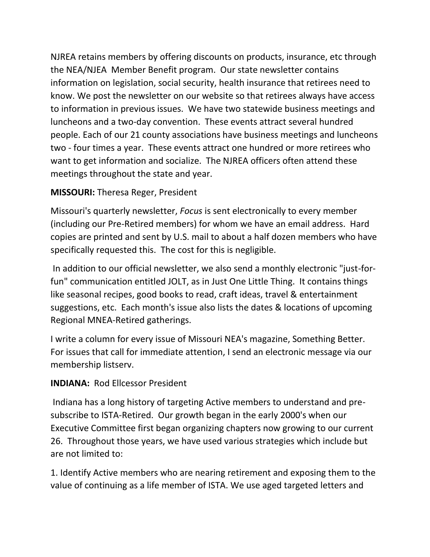NJREA retains members by offering discounts on products, insurance, etc through the NEA/NJEA Member Benefit program. Our state newsletter contains information on legislation, social security, health insurance that retirees need to know. We post the newsletter on our website so that retirees always have access to information in previous issues. We have two statewide business meetings and luncheons and a two-day convention. These events attract several hundred people. Each of our 21 county associations have business meetings and luncheons two - four times a year. These events attract one hundred or more retirees who want to get information and socialize. The NJREA officers often attend these meetings throughout the state and year.

# **MISSOURI:** Theresa Reger, President

Missouri's quarterly newsletter, *Focus* is sent electronically to every member (including our Pre-Retired members) for whom we have an email address. Hard copies are printed and sent by U.S. mail to about a half dozen members who have specifically requested this. The cost for this is negligible.

In addition to our official newsletter, we also send a monthly electronic "just-forfun" communication entitled JOLT, as in Just One Little Thing. It contains things like seasonal recipes, good books to read, craft ideas, travel & entertainment suggestions, etc. Each month's issue also lists the dates & locations of upcoming Regional MNEA-Retired gatherings.

I write a column for every issue of Missouri NEA's magazine, Something Better. For issues that call for immediate attention, I send an electronic message via our membership listserv.

# **INDIANA:** Rod Ellcessor President

Indiana has a long history of targeting Active members to understand and presubscribe to ISTA-Retired. Our growth began in the early 2000's when our Executive Committee first began organizing chapters now growing to our current 26. Throughout those years, we have used various strategies which include but are not limited to:

1. Identify Active members who are nearing retirement and exposing them to the value of continuing as a life member of ISTA. We use aged targeted letters and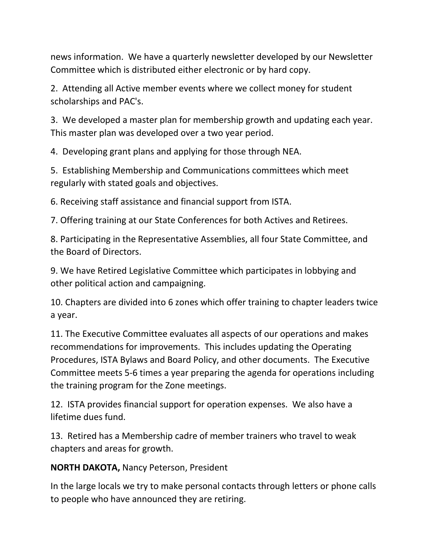news information. We have a quarterly newsletter developed by our Newsletter Committee which is distributed either electronic or by hard copy.

2. Attending all Active member events where we collect money for student scholarships and PAC's.

3. We developed a master plan for membership growth and updating each year. This master plan was developed over a two year period.

4. Developing grant plans and applying for those through NEA.

5. Establishing Membership and Communications committees which meet regularly with stated goals and objectives.

6. Receiving staff assistance and financial support from ISTA.

7. Offering training at our State Conferences for both Actives and Retirees.

8. Participating in the Representative Assemblies, all four State Committee, and the Board of Directors.

9. We have Retired Legislative Committee which participates in lobbying and other political action and campaigning.

10. Chapters are divided into 6 zones which offer training to chapter leaders twice a year.

11. The Executive Committee evaluates all aspects of our operations and makes recommendations for improvements. This includes updating the Operating Procedures, ISTA Bylaws and Board Policy, and other documents. The Executive Committee meets 5-6 times a year preparing the agenda for operations including the training program for the Zone meetings.

12. ISTA provides financial support for operation expenses. We also have a lifetime dues fund.

13. Retired has a Membership cadre of member trainers who travel to weak chapters and areas for growth.

**NORTH DAKOTA,** Nancy Peterson, President

In the large locals we try to make personal contacts through letters or phone calls to people who have announced they are retiring.